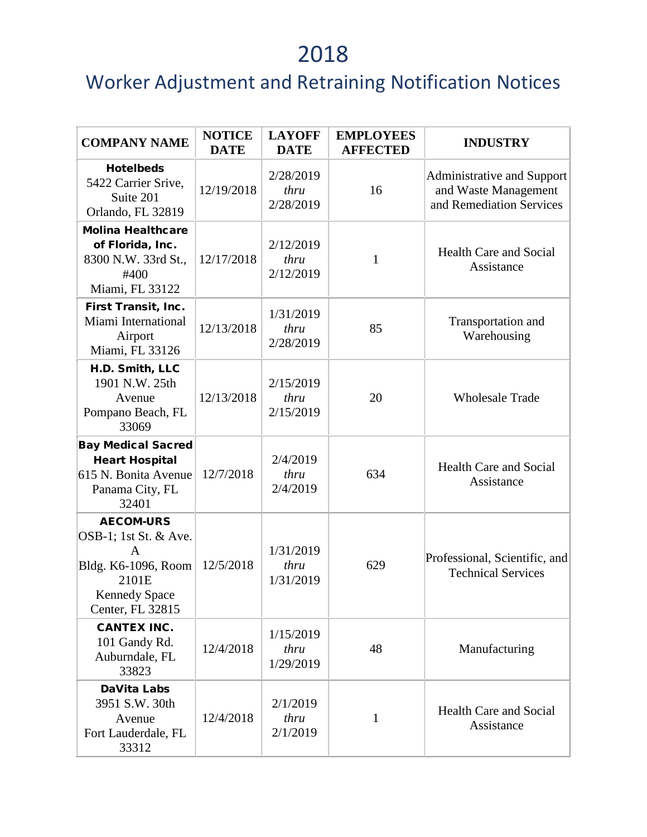| <b>COMPANY NAME</b>                                                                                                        | <b>NOTICE</b><br><b>DATE</b> | <b>LAYOFF</b><br><b>DATE</b>   | <b>EMPLOYEES</b><br><b>AFFECTED</b> | <b>INDUSTRY</b>                                                                |
|----------------------------------------------------------------------------------------------------------------------------|------------------------------|--------------------------------|-------------------------------------|--------------------------------------------------------------------------------|
| <b>Hotelbeds</b><br>5422 Carrier Srive,<br>Suite 201<br>Orlando, FL 32819                                                  | 12/19/2018                   | 2/28/2019<br>thru<br>2/28/2019 | 16                                  | Administrative and Support<br>and Waste Management<br>and Remediation Services |
| <b>Molina Healthcare</b><br>of Florida, Inc.<br>8300 N.W. 33rd St.,<br>#400<br>Miami, FL 33122                             | 12/17/2018                   | 2/12/2019<br>thru<br>2/12/2019 | 1                                   | <b>Health Care and Social</b><br>Assistance                                    |
| First Transit, Inc.<br>Miami International<br>Airport<br>Miami, FL 33126                                                   | 12/13/2018                   | 1/31/2019<br>thru<br>2/28/2019 | 85                                  | Transportation and<br>Warehousing                                              |
| H.D. Smith, LLC<br>1901 N.W. 25th<br>Avenue<br>Pompano Beach, FL<br>33069                                                  | 12/13/2018                   | 2/15/2019<br>thru<br>2/15/2019 | 20                                  | <b>Wholesale Trade</b>                                                         |
| <b>Bay Medical Sacred</b><br><b>Heart Hospital</b><br>615 N. Bonita Avenue<br>Panama City, FL<br>32401                     | 12/7/2018                    | 2/4/2019<br>thru<br>2/4/2019   | 634                                 | <b>Health Care and Social</b><br>Assistance                                    |
| <b>AECOM-URS</b><br>OSB-1; 1st St. & Ave.<br>A<br>Bldg. K6-1096, Room<br>2101E<br><b>Kennedy Space</b><br>Center, FL 32815 | 12/5/2018                    | 1/31/2019<br>thru<br>1/31/2019 | 629                                 | Professional, Scientific, and<br><b>Technical Services</b>                     |
| <b>CANTEX INC.</b><br>101 Gandy Rd.<br>Auburndale, FL<br>33823                                                             | 12/4/2018                    | 1/15/2019<br>thru<br>1/29/2019 | 48                                  | Manufacturing                                                                  |
| <b>DaVita Labs</b><br>3951 S.W. 30th<br>Avenue<br>Fort Lauderdale, FL<br>33312                                             | 12/4/2018                    | 2/1/2019<br>thru<br>2/1/2019   | $\mathbf{1}$                        | <b>Health Care and Social</b><br>Assistance                                    |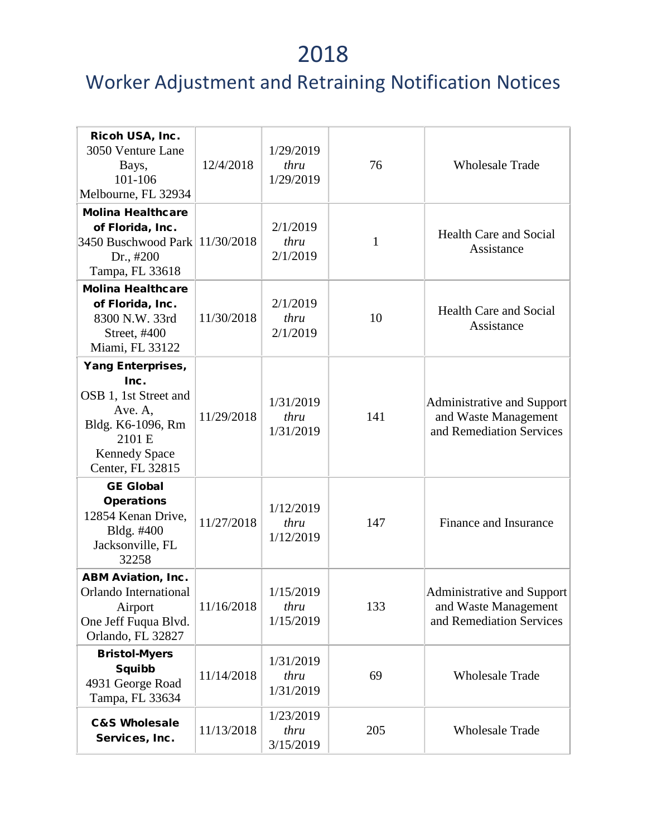| Ricoh USA, Inc.<br>3050 Venture Lane<br>Bays,<br>101-106<br>Melbourne, FL 32934                                                                 | 12/4/2018  | 1/29/2019<br>thru<br>1/29/2019 | 76  | <b>Wholesale Trade</b>                                                         |
|-------------------------------------------------------------------------------------------------------------------------------------------------|------------|--------------------------------|-----|--------------------------------------------------------------------------------|
| <b>Molina Healthcare</b><br>of Florida, Inc.<br>3450 Buschwood Park<br>Dr., #200<br>Tampa, FL 33618                                             | 11/30/2018 | 2/1/2019<br>thru<br>2/1/2019   | 1   | <b>Health Care and Social</b><br>Assistance                                    |
| <b>Molina Healthcare</b><br>of Florida, Inc.<br>8300 N.W. 33rd<br>Street, #400<br>Miami, FL 33122                                               | 11/30/2018 | 2/1/2019<br>thru<br>2/1/2019   | 10  | <b>Health Care and Social</b><br>Assistance                                    |
| <b>Yang Enterprises,</b><br>Inc.<br>OSB 1, 1st Street and<br>Ave. A,<br>Bldg. K6-1096, Rm<br>2101 E<br><b>Kennedy Space</b><br>Center, FL 32815 | 11/29/2018 | 1/31/2019<br>thru<br>1/31/2019 | 141 | Administrative and Support<br>and Waste Management<br>and Remediation Services |
| <b>GE Global</b><br><b>Operations</b><br>12854 Kenan Drive,<br>Bldg. #400<br>Jacksonville, FL<br>32258                                          | 11/27/2018 | 1/12/2019<br>thru<br>1/12/2019 | 147 | Finance and Insurance                                                          |
| <b>ABM Aviation, Inc.</b><br>Orlando International<br>Airport<br>One Jeff Fuqua Blvd.<br>Orlando, FL 32827                                      | 11/16/2018 | 1/15/2019<br>thru<br>1/15/2019 | 133 | Administrative and Support<br>and Waste Management<br>and Remediation Services |
| <b>Bristol-Myers</b><br><b>Squibb</b><br>4931 George Road<br>Tampa, FL 33634                                                                    | 11/14/2018 | 1/31/2019<br>thru<br>1/31/2019 | 69  | <b>Wholesale Trade</b>                                                         |
| <b>C&amp;S Wholesale</b><br>Services, Inc.                                                                                                      | 11/13/2018 | 1/23/2019<br>thru<br>3/15/2019 | 205 | <b>Wholesale Trade</b>                                                         |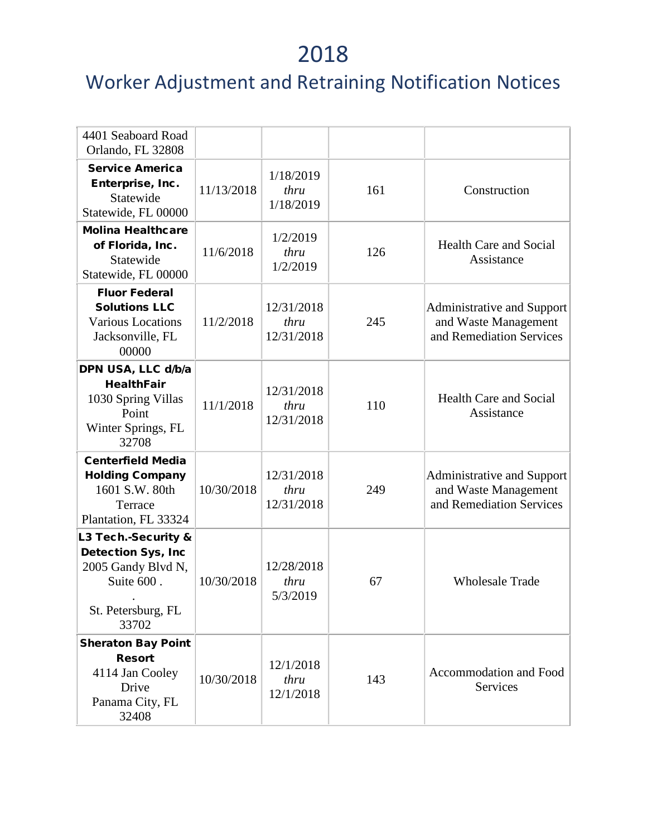| 4401 Seaboard Road<br>Orlando, FL 32808                                                                             |            |                                  |     |                                                                                |
|---------------------------------------------------------------------------------------------------------------------|------------|----------------------------------|-----|--------------------------------------------------------------------------------|
| <b>Service America</b><br>Enterprise, Inc.<br>Statewide<br>Statewide, FL 00000                                      | 11/13/2018 | 1/18/2019<br>thru<br>1/18/2019   | 161 | Construction                                                                   |
| <b>Molina Healthcare</b><br>of Florida, Inc.<br>Statewide<br>Statewide, FL 00000                                    | 11/6/2018  | 1/2/2019<br>thru<br>1/2/2019     | 126 | <b>Health Care and Social</b><br>Assistance                                    |
| <b>Fluor Federal</b><br><b>Solutions LLC</b><br><b>Various Locations</b><br>Jacksonville, FL<br>00000               | 11/2/2018  | 12/31/2018<br>thru<br>12/31/2018 | 245 | Administrative and Support<br>and Waste Management<br>and Remediation Services |
| DPN USA, LLC d/b/a<br><b>HealthFair</b><br>1030 Spring Villas<br>Point<br>Winter Springs, FL<br>32708               | 11/1/2018  | 12/31/2018<br>thru<br>12/31/2018 | 110 | <b>Health Care and Social</b><br>Assistance                                    |
| <b>Centerfield Media</b><br><b>Holding Company</b><br>1601 S.W. 80th<br>Terrace<br>Plantation, FL 33324             | 10/30/2018 | 12/31/2018<br>thru<br>12/31/2018 | 249 | Administrative and Support<br>and Waste Management<br>and Remediation Services |
| L3 Tech.-Security &<br><b>Detection Sys, Inc</b><br>2005 Gandy Blvd N,<br>Suite 600.<br>St. Petersburg, FL<br>33702 | 10/30/2018 | 12/28/2018<br>thru<br>5/3/2019   | 67  | <b>Wholesale Trade</b>                                                         |
| <b>Sheraton Bay Point</b><br><b>Resort</b><br>4114 Jan Cooley<br>Drive<br>Panama City, FL<br>32408                  | 10/30/2018 | 12/1/2018<br>thru<br>12/1/2018   | 143 | Accommodation and Food<br><b>Services</b>                                      |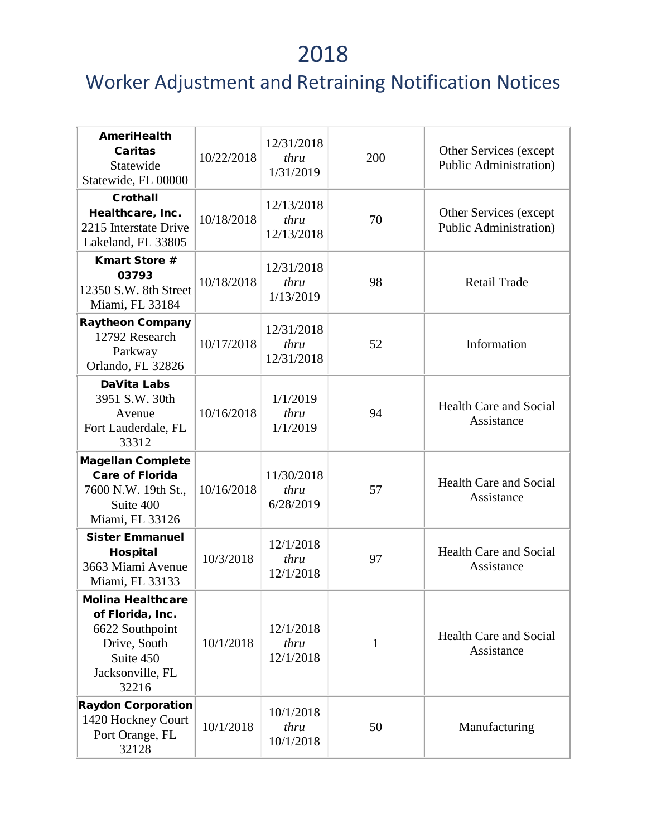| <b>AmeriHealth</b><br><b>Caritas</b><br>Statewide<br>Statewide, FL 00000                                                  | 10/22/2018 | 12/31/2018<br>thru<br>1/31/2019  | 200          | Other Services (except<br><b>Public Administration</b> ) |
|---------------------------------------------------------------------------------------------------------------------------|------------|----------------------------------|--------------|----------------------------------------------------------|
| <b>Crothall</b><br>Healthcare, Inc.<br>2215 Interstate Drive<br>Lakeland, FL 33805                                        | 10/18/2018 | 12/13/2018<br>thru<br>12/13/2018 | 70           | Other Services (except<br><b>Public Administration</b> ) |
| <b>Kmart Store #</b><br>03793<br>12350 S.W. 8th Street<br>Miami, FL 33184                                                 | 10/18/2018 | 12/31/2018<br>thru<br>1/13/2019  | 98           | <b>Retail Trade</b>                                      |
| <b>Raytheon Company</b><br>12792 Research<br>Parkway<br>Orlando, FL 32826                                                 | 10/17/2018 | 12/31/2018<br>thru<br>12/31/2018 | 52           | Information                                              |
| <b>DaVita Labs</b><br>3951 S.W. 30th<br>Avenue<br>Fort Lauderdale, FL<br>33312                                            | 10/16/2018 | 1/1/2019<br>thru<br>1/1/2019     | 94           | <b>Health Care and Social</b><br>Assistance              |
| <b>Magellan Complete</b><br><b>Care of Florida</b><br>7600 N.W. 19th St.,<br>Suite 400<br>Miami, FL 33126                 | 10/16/2018 | 11/30/2018<br>thru<br>6/28/2019  | 57           | <b>Health Care and Social</b><br>Assistance              |
| <b>Sister Emmanuel</b><br><b>Hospital</b><br>3663 Miami Avenue<br>Miami, FL 33133                                         | 10/3/2018  | 12/1/2018<br>thru<br>12/1/2018   | 97           | <b>Health Care and Social</b><br>Assistance              |
| <b>Molina Healthcare</b><br>of Florida, Inc.<br>6622 Southpoint<br>Drive, South<br>Suite 450<br>Jacksonville, FL<br>32216 | 10/1/2018  | 12/1/2018<br>thru<br>12/1/2018   | $\mathbf{1}$ | <b>Health Care and Social</b><br>Assistance              |
| <b>Raydon Corporation</b><br>1420 Hockney Court<br>Port Orange, FL<br>32128                                               | 10/1/2018  | 10/1/2018<br>thru<br>10/1/2018   | 50           | Manufacturing                                            |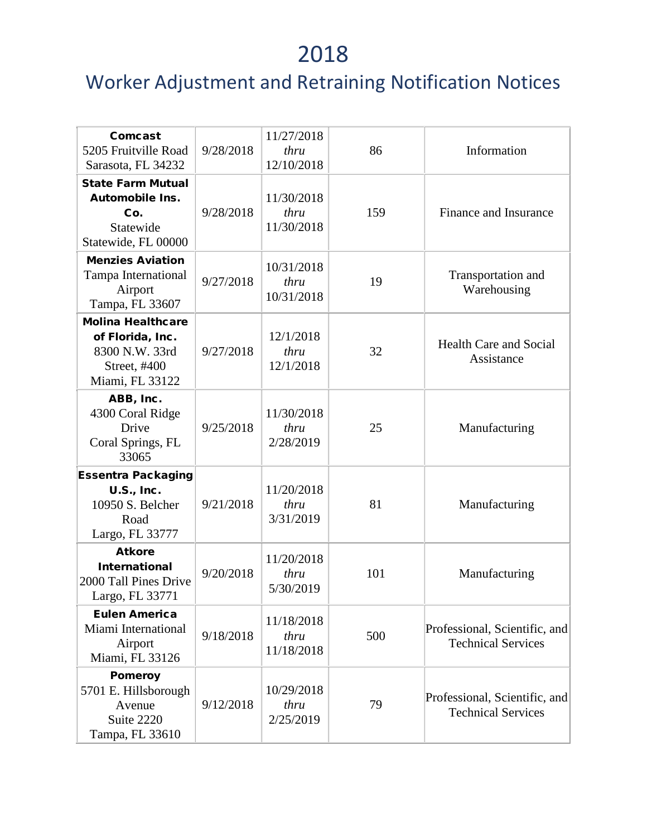| Comcast<br>5205 Fruitville Road<br>Sarasota, FL 34232                                             | 9/28/2018 | 11/27/2018<br>thru<br>12/10/2018 | 86  | Information                                                |
|---------------------------------------------------------------------------------------------------|-----------|----------------------------------|-----|------------------------------------------------------------|
| <b>State Farm Mutual</b><br><b>Automobile Ins.</b><br>Co.<br>Statewide<br>Statewide, FL 00000     | 9/28/2018 | 11/30/2018<br>thru<br>11/30/2018 | 159 | Finance and Insurance                                      |
| <b>Menzies Aviation</b><br>Tampa International<br>Airport<br>Tampa, FL 33607                      | 9/27/2018 | 10/31/2018<br>thru<br>10/31/2018 | 19  | Transportation and<br>Warehousing                          |
| <b>Molina Healthcare</b><br>of Florida, Inc.<br>8300 N.W. 33rd<br>Street, #400<br>Miami, FL 33122 | 9/27/2018 | 12/1/2018<br>thru<br>12/1/2018   | 32  | <b>Health Care and Social</b><br>Assistance                |
| ABB, Inc.<br>4300 Coral Ridge<br>Drive<br>Coral Springs, FL<br>33065                              | 9/25/2018 | 11/30/2018<br>thru<br>2/28/2019  | 25  | Manufacturing                                              |
| <b>Essentra Packaging</b><br>U.S., Inc.<br>10950 S. Belcher<br>Road<br>Largo, FL 33777            | 9/21/2018 | 11/20/2018<br>thru<br>3/31/2019  | 81  | Manufacturing                                              |
| <b>Atkore</b><br><b>International</b><br>2000 Tall Pines Drive<br>Largo, FL 33771                 | 9/20/2018 | 11/20/2018<br>thru<br>5/30/2019  | 101 | Manufacturing                                              |
| <b>Eulen America</b><br>Miami International<br>Airport<br>Miami, FL 33126                         | 9/18/2018 | 11/18/2018<br>thru<br>11/18/2018 | 500 | Professional, Scientific, and<br><b>Technical Services</b> |
| <b>Pomeroy</b><br>5701 E. Hillsborough<br>Avenue<br>Suite 2220<br>Tampa, FL 33610                 | 9/12/2018 | 10/29/2018<br>thru<br>2/25/2019  | 79  | Professional, Scientific, and<br><b>Technical Services</b> |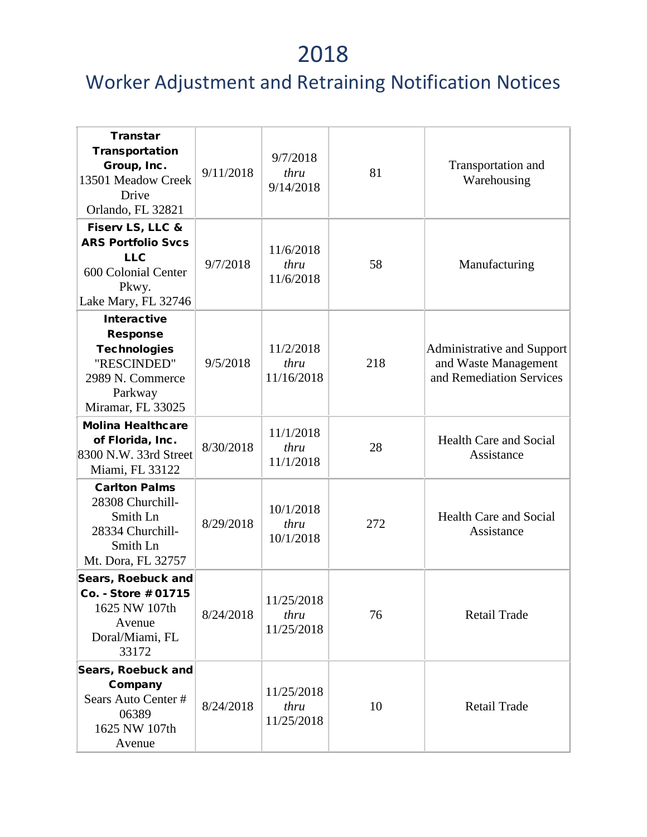| <b>Transtar</b><br>Transportation<br>Group, Inc.<br>13501 Meadow Creek<br>Drive<br>Orlando, FL 32821                            | 9/11/2018 | 9/7/2018<br>thru<br>9/14/2018    | 81  | Transportation and<br>Warehousing                                                     |
|---------------------------------------------------------------------------------------------------------------------------------|-----------|----------------------------------|-----|---------------------------------------------------------------------------------------|
| Fiserv LS, LLC &<br><b>ARS Portfolio Svcs</b><br><b>LLC</b><br>600 Colonial Center<br>Pkwy.<br>Lake Mary, FL 32746              | 9/7/2018  | 11/6/2018<br>thru<br>11/6/2018   | 58  | Manufacturing                                                                         |
| <b>Interactive</b><br><b>Response</b><br><b>Technologies</b><br>"RESCINDED"<br>2989 N. Commerce<br>Parkway<br>Miramar, FL 33025 | 9/5/2018  | 11/2/2018<br>thru<br>11/16/2018  | 218 | <b>Administrative and Support</b><br>and Waste Management<br>and Remediation Services |
| <b>Molina Healthcare</b><br>of Florida, Inc.<br>8300 N.W. 33rd Street<br>Miami, FL 33122                                        | 8/30/2018 | 11/1/2018<br>thru<br>11/1/2018   | 28  | <b>Health Care and Social</b><br>Assistance                                           |
| <b>Carlton Palms</b><br>28308 Churchill-<br>Smith Ln<br>28334 Churchill-<br>Smith Ln<br>Mt. Dora, FL 32757                      | 8/29/2018 | 10/1/2018<br>thru<br>10/1/2018   | 272 | <b>Health Care and Social</b><br>Assistance                                           |
| Sears, Roebuck and<br>Co. - Store # 01715<br>1625 NW 107th<br>Avenue<br>Doral/Miami, FL<br>33172                                | 8/24/2018 | 11/25/2018<br>thru<br>11/25/2018 | 76  | <b>Retail Trade</b>                                                                   |
| Sears, Roebuck and<br>Company<br>Sears Auto Center #<br>06389<br>1625 NW 107th<br>Avenue                                        | 8/24/2018 | 11/25/2018<br>thru<br>11/25/2018 | 10  | <b>Retail Trade</b>                                                                   |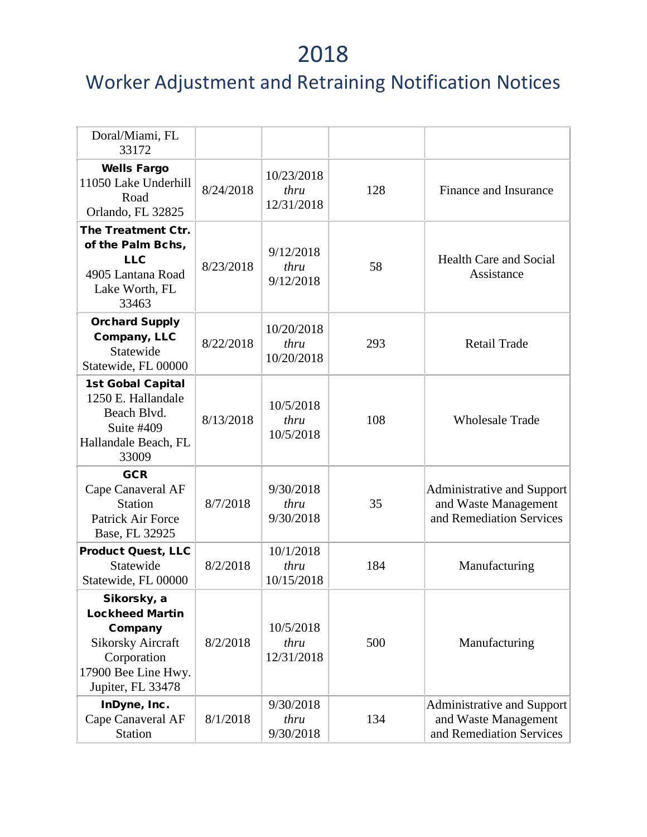| Doral/Miami, FL<br>33172                                                                                                                |           |                                  |     |                                                                                       |
|-----------------------------------------------------------------------------------------------------------------------------------------|-----------|----------------------------------|-----|---------------------------------------------------------------------------------------|
| <b>Wells Fargo</b><br>11050 Lake Underhill<br>Road<br>Orlando, FL 32825                                                                 | 8/24/2018 | 10/23/2018<br>thru<br>12/31/2018 | 128 | Finance and Insurance                                                                 |
| The Treatment Ctr.<br>of the Palm Bchs,<br><b>LLC</b><br>4905 Lantana Road<br>Lake Worth, FL<br>33463                                   | 8/23/2018 | 9/12/2018<br>thru<br>9/12/2018   | 58  | <b>Health Care and Social</b><br>Assistance                                           |
| <b>Orchard Supply</b><br>Company, LLC<br>Statewide<br>Statewide, FL 00000                                                               | 8/22/2018 | 10/20/2018<br>thru<br>10/20/2018 | 293 | <b>Retail Trade</b>                                                                   |
| <b>1st Gobal Capital</b><br>1250 E. Hallandale<br>Beach Blvd.<br>Suite #409<br>Hallandale Beach, FL<br>33009                            | 8/13/2018 | 10/5/2018<br>thru<br>10/5/2018   | 108 | <b>Wholesale Trade</b>                                                                |
| <b>GCR</b><br>Cape Canaveral AF<br><b>Station</b><br>Patrick Air Force<br>Base, FL 32925                                                | 8/7/2018  | 9/30/2018<br>thru<br>9/30/2018   | 35  | <b>Administrative and Support</b><br>and Waste Management<br>and Remediation Services |
| <b>Product Quest, LLC</b><br>Statewide<br>Statewide, FL 00000                                                                           | 8/2/2018  | 10/1/2018<br>thru<br>10/15/2018  | 184 | Manufacturing                                                                         |
| Sikorsky, a<br><b>Lockheed Martin</b><br>Company<br><b>Sikorsky Aircraft</b><br>Corporation<br>17900 Bee Line Hwy.<br>Jupiter, FL 33478 | 8/2/2018  | 10/5/2018<br>thru<br>12/31/2018  | 500 | Manufacturing                                                                         |
| InDyne, Inc.<br>Cape Canaveral AF<br><b>Station</b>                                                                                     | 8/1/2018  | 9/30/2018<br>thru<br>9/30/2018   | 134 | Administrative and Support<br>and Waste Management<br>and Remediation Services        |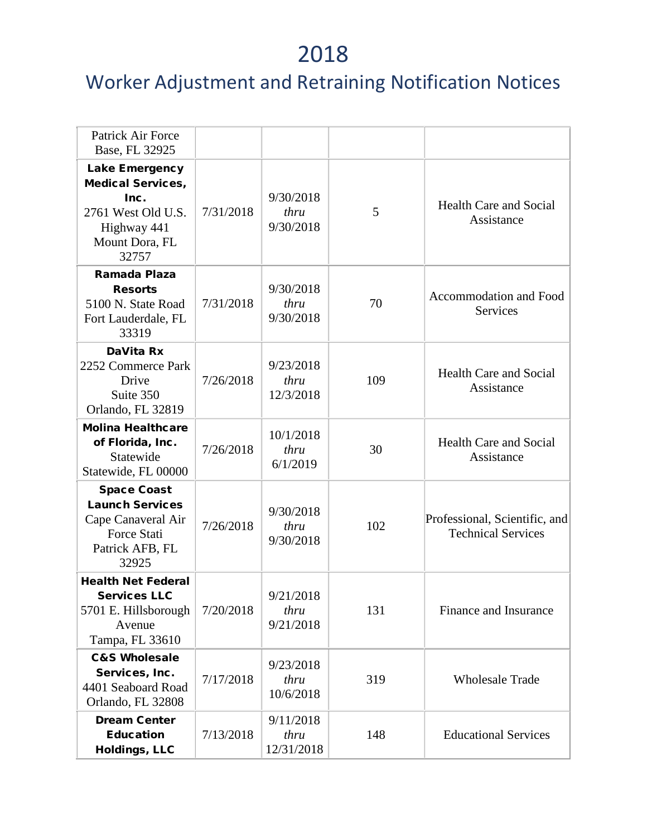| Patrick Air Force<br>Base, FL 32925                                                                                |           |                                 |     |                                                            |
|--------------------------------------------------------------------------------------------------------------------|-----------|---------------------------------|-----|------------------------------------------------------------|
| Lake Emergency<br><b>Medical Services,</b><br>Inc.<br>2761 West Old U.S.<br>Highway 441<br>Mount Dora, FL<br>32757 | 7/31/2018 | 9/30/2018<br>thru<br>9/30/2018  | 5   | <b>Health Care and Social</b><br>Assistance                |
| Ramada Plaza<br><b>Resorts</b><br>5100 N. State Road<br>Fort Lauderdale, FL<br>33319                               | 7/31/2018 | 9/30/2018<br>thru<br>9/30/2018  | 70  | Accommodation and Food<br>Services                         |
| DaVita Rx<br>2252 Commerce Park<br>Drive<br>Suite 350<br>Orlando, FL 32819                                         | 7/26/2018 | 9/23/2018<br>thru<br>12/3/2018  | 109 | <b>Health Care and Social</b><br>Assistance                |
| <b>Molina Healthcare</b><br>of Florida, Inc.<br>Statewide<br>Statewide, FL 00000                                   | 7/26/2018 | 10/1/2018<br>thru<br>6/1/2019   | 30  | <b>Health Care and Social</b><br>Assistance                |
| <b>Space Coast</b><br><b>Launch Services</b><br>Cape Canaveral Air<br>Force Stati<br>Patrick AFB, FL<br>32925      | 7/26/2018 | 9/30/2018<br>thru<br>9/30/2018  | 102 | Professional, Scientific, and<br><b>Technical Services</b> |
| <b>Health Net Federal</b><br><b>Services LLC</b><br>5701 E. Hillsborough<br>Avenue<br>Tampa, FL 33610              | 7/20/2018 | 9/21/2018<br>thru<br>9/21/2018  | 131 | Finance and Insurance                                      |
| <b>C&amp;S Wholesale</b><br>Services, Inc.<br>4401 Seaboard Road<br>Orlando, FL 32808                              | 7/17/2018 | 9/23/2018<br>thru<br>10/6/2018  | 319 | <b>Wholesale Trade</b>                                     |
| <b>Dream Center</b><br><b>Education</b><br><b>Holdings, LLC</b>                                                    | 7/13/2018 | 9/11/2018<br>thru<br>12/31/2018 | 148 | <b>Educational Services</b>                                |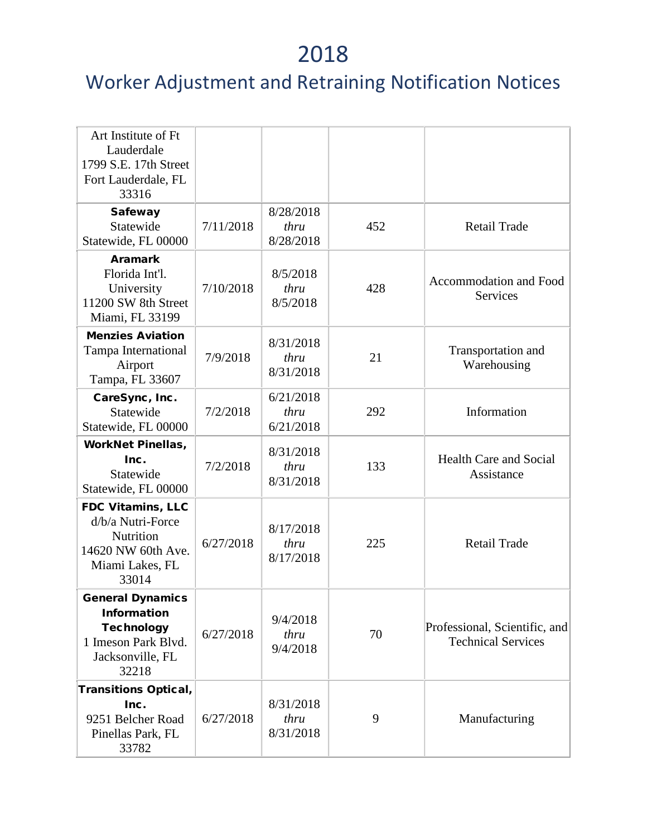| Art Institute of Ft<br>Lauderdale<br>1799 S.E. 17th Street<br>Fort Lauderdale, FL<br>33316                             |           |                                |     |                                                            |
|------------------------------------------------------------------------------------------------------------------------|-----------|--------------------------------|-----|------------------------------------------------------------|
| <b>Safeway</b><br>Statewide<br>Statewide, FL 00000                                                                     | 7/11/2018 | 8/28/2018<br>thru<br>8/28/2018 | 452 | <b>Retail Trade</b>                                        |
| <b>Aramark</b><br>Florida Int'l.<br>University<br>11200 SW 8th Street<br>Miami, FL 33199                               | 7/10/2018 | 8/5/2018<br>thru<br>8/5/2018   | 428 | Accommodation and Food<br><b>Services</b>                  |
| <b>Menzies Aviation</b><br>Tampa International<br>Airport<br>Tampa, FL 33607                                           | 7/9/2018  | 8/31/2018<br>thru<br>8/31/2018 | 21  | Transportation and<br>Warehousing                          |
| CareSync, Inc.<br>Statewide<br>Statewide, FL 00000                                                                     | 7/2/2018  | 6/21/2018<br>thru<br>6/21/2018 | 292 | Information                                                |
| <b>WorkNet Pinellas,</b><br>Inc.<br>Statewide<br>Statewide, FL 00000                                                   | 7/2/2018  | 8/31/2018<br>thru<br>8/31/2018 | 133 | <b>Health Care and Social</b><br>Assistance                |
| <b>FDC Vitamins, LLC</b><br>d/b/a Nutri-Force<br><b>Nutrition</b><br>14620 NW 60th Ave.<br>Miami Lakes, FL<br>33014    | 6/27/2018 | 8/17/2018<br>thru<br>8/17/2018 | 225 | <b>Retail Trade</b>                                        |
| <b>General Dynamics</b><br><b>Information</b><br><b>Technology</b><br>1 Imeson Park Blvd.<br>Jacksonville, FL<br>32218 | 6/27/2018 | 9/4/2018<br>thru<br>9/4/2018   | 70  | Professional, Scientific, and<br><b>Technical Services</b> |
| <b>Transitions Optical,</b><br>Inc.<br>9251 Belcher Road<br>Pinellas Park, FL<br>33782                                 | 6/27/2018 | 8/31/2018<br>thru<br>8/31/2018 | 9   | Manufacturing                                              |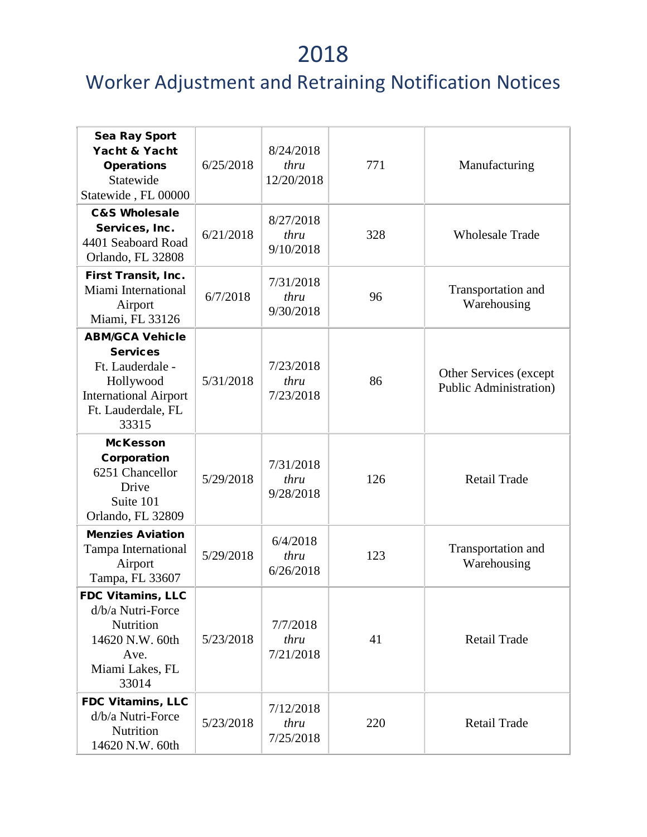| <b>Sea Ray Sport</b><br>Yacht & Yacht<br><b>Operations</b><br>Statewide<br>Statewide, FL 00000                                            | 6/25/2018 | 8/24/2018<br>thru<br>12/20/2018 | 771 | Manufacturing                                            |
|-------------------------------------------------------------------------------------------------------------------------------------------|-----------|---------------------------------|-----|----------------------------------------------------------|
| <b>C&amp;S Wholesale</b><br>Services, Inc.<br>4401 Seaboard Road<br>Orlando, FL 32808                                                     | 6/21/2018 | 8/27/2018<br>thru<br>9/10/2018  | 328 | <b>Wholesale Trade</b>                                   |
| First Transit, Inc.<br>Miami International<br>Airport<br>Miami, FL 33126                                                                  | 6/7/2018  | 7/31/2018<br>thru<br>9/30/2018  | 96  | Transportation and<br>Warehousing                        |
| <b>ABM/GCA Vehicle</b><br><b>Services</b><br>Ft. Lauderdale -<br>Hollywood<br><b>International Airport</b><br>Ft. Lauderdale, FL<br>33315 | 5/31/2018 | 7/23/2018<br>thru<br>7/23/2018  | 86  | Other Services (except<br><b>Public Administration</b> ) |
| <b>McKesson</b><br>Corporation<br>6251 Chancellor<br>Drive<br>Suite 101<br>Orlando, FL 32809                                              | 5/29/2018 | 7/31/2018<br>thru<br>9/28/2018  | 126 | <b>Retail Trade</b>                                      |
| <b>Menzies Aviation</b><br>Tampa International<br>Airport<br>Tampa, FL 33607                                                              | 5/29/2018 | 6/4/2018<br>thru<br>6/26/2018   | 123 | Transportation and<br>Warehousing                        |
| FDC Vitamins, LLC<br>d/b/a Nutri-Force<br>Nutrition<br>14620 N.W. 60th<br>Ave.<br>Miami Lakes, FL<br>33014                                | 5/23/2018 | 7/7/2018<br>thru<br>7/21/2018   | 41  | <b>Retail Trade</b>                                      |
| <b>FDC Vitamins, LLC</b><br>d/b/a Nutri-Force<br>Nutrition<br>14620 N.W. 60th                                                             | 5/23/2018 | 7/12/2018<br>thru<br>7/25/2018  | 220 | <b>Retail Trade</b>                                      |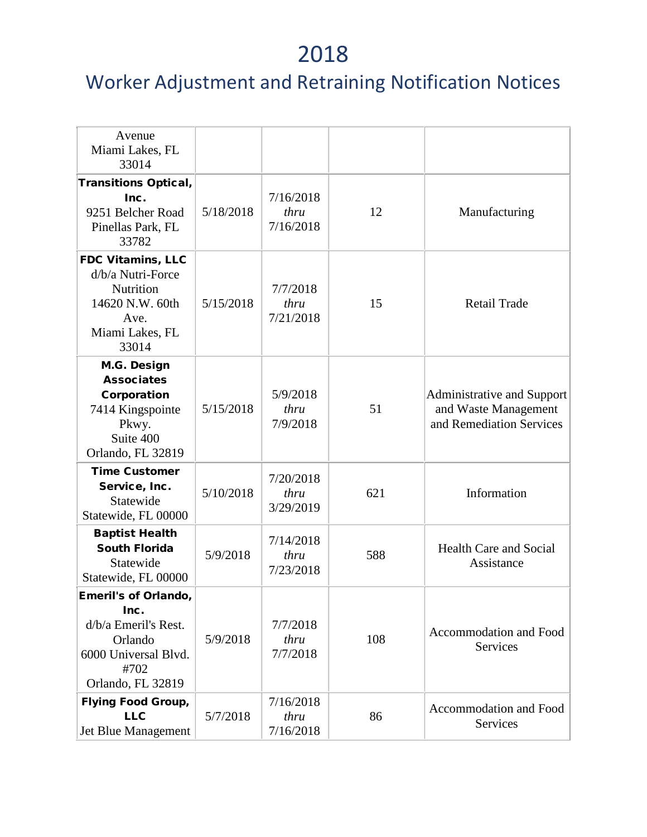| Avenue<br>Miami Lakes, FL<br>33014                                                                                          |           |                                |     |                                                                                |
|-----------------------------------------------------------------------------------------------------------------------------|-----------|--------------------------------|-----|--------------------------------------------------------------------------------|
| <b>Transitions Optical,</b><br>Inc.<br>9251 Belcher Road<br>Pinellas Park, FL<br>33782                                      | 5/18/2018 | 7/16/2018<br>thru<br>7/16/2018 | 12  | Manufacturing                                                                  |
| <b>FDC Vitamins, LLC</b><br>d/b/a Nutri-Force<br>Nutrition<br>14620 N.W. 60th<br>Ave.<br>Miami Lakes, FL<br>33014           | 5/15/2018 | 7/7/2018<br>thru<br>7/21/2018  | 15  | <b>Retail Trade</b>                                                            |
| M.G. Design<br><b>Associates</b><br>Corporation<br>7414 Kingspointe<br>Pkwy.<br>Suite 400<br>Orlando, FL 32819              | 5/15/2018 | 5/9/2018<br>thru<br>7/9/2018   | 51  | Administrative and Support<br>and Waste Management<br>and Remediation Services |
| <b>Time Customer</b><br>Service, Inc.<br>Statewide<br>Statewide, FL 00000                                                   | 5/10/2018 | 7/20/2018<br>thru<br>3/29/2019 | 621 | Information                                                                    |
| <b>Baptist Health</b><br><b>South Florida</b><br>Statewide<br>Statewide, FL 00000                                           | 5/9/2018  | 7/14/2018<br>thru<br>7/23/2018 | 588 | <b>Health Care and Social</b><br>Assistance                                    |
| <b>Emeril's of Orlando,</b><br>Inc.<br>d/b/a Emeril's Rest.<br>Orlando<br>6000 Universal Blvd.<br>#702<br>Orlando, FL 32819 | 5/9/2018  | 7/7/2018<br>thru<br>7/7/2018   | 108 | Accommodation and Food<br><b>Services</b>                                      |
| <b>Flying Food Group,</b><br><b>LLC</b><br>Jet Blue Management                                                              | 5/7/2018  | 7/16/2018<br>thru<br>7/16/2018 | 86  | Accommodation and Food<br>Services                                             |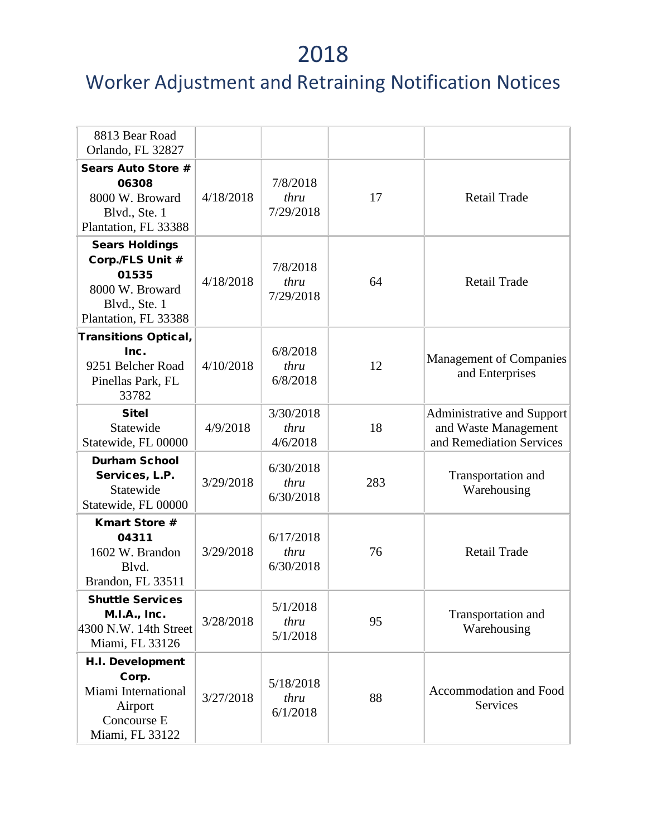| 8813 Bear Road<br>Orlando, FL 32827                                                                            |           |                                |     |                                                                                       |
|----------------------------------------------------------------------------------------------------------------|-----------|--------------------------------|-----|---------------------------------------------------------------------------------------|
| <b>Sears Auto Store #</b><br>06308<br>8000 W. Broward<br>Blvd., Ste. 1<br>Plantation, FL 33388                 | 4/18/2018 | 7/8/2018<br>thru<br>7/29/2018  | 17  | <b>Retail Trade</b>                                                                   |
| <b>Sears Holdings</b><br>Corp./FLS Unit #<br>01535<br>8000 W. Broward<br>Blvd., Ste. 1<br>Plantation, FL 33388 | 4/18/2018 | 7/8/2018<br>thru<br>7/29/2018  | 64  | <b>Retail Trade</b>                                                                   |
| <b>Transitions Optical,</b><br>Inc.<br>9251 Belcher Road<br>Pinellas Park, FL<br>33782                         | 4/10/2018 | 6/8/2018<br>thru<br>6/8/2018   | 12  | <b>Management of Companies</b><br>and Enterprises                                     |
| <b>Sitel</b><br>Statewide<br>Statewide, FL 00000                                                               | 4/9/2018  | 3/30/2018<br>thru<br>4/6/2018  | 18  | <b>Administrative and Support</b><br>and Waste Management<br>and Remediation Services |
| <b>Durham School</b><br>Services, L.P.<br>Statewide<br>Statewide, FL 00000                                     | 3/29/2018 | 6/30/2018<br>thru<br>6/30/2018 | 283 | Transportation and<br>Warehousing                                                     |
| <b>Kmart Store #</b><br>04311<br>1602 W. Brandon<br>Blvd.<br>Brandon, FL 33511                                 | 3/29/2018 | 6/17/2018<br>thru<br>6/30/2018 | 76  | <b>Retail Trade</b>                                                                   |
| <b>Shuttle Services</b><br><b>M.I.A., Inc.</b><br>4300 N.W. 14th Street<br>Miami, FL 33126                     | 3/28/2018 | 5/1/2018<br>thru<br>5/1/2018   | 95  | Transportation and<br>Warehousing                                                     |
| <b>H.I. Development</b><br>Corp.<br>Miami International<br>Airport<br>Concourse E<br>Miami, FL 33122           | 3/27/2018 | 5/18/2018<br>thru<br>6/1/2018  | 88  | Accommodation and Food<br>Services                                                    |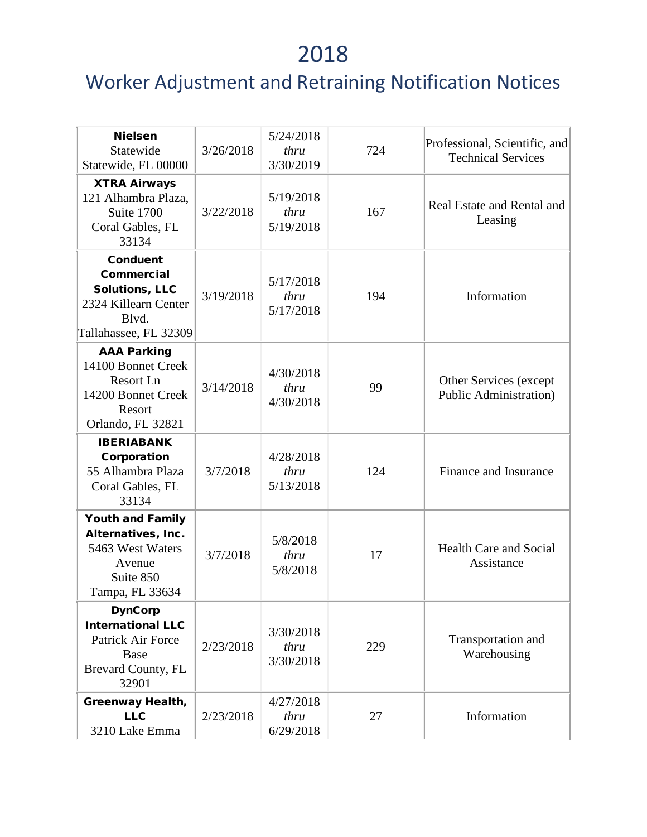| <b>Nielsen</b><br>Statewide<br>Statewide, FL 00000                                                                      | 3/26/2018 | 5/24/2018<br>thru<br>3/30/2019 | 724 | Professional, Scientific, and<br><b>Technical Services</b> |
|-------------------------------------------------------------------------------------------------------------------------|-----------|--------------------------------|-----|------------------------------------------------------------|
| <b>XTRA Airways</b><br>121 Alhambra Plaza,<br>Suite 1700<br>Coral Gables, FL<br>33134                                   | 3/22/2018 | 5/19/2018<br>thru<br>5/19/2018 | 167 | Real Estate and Rental and<br>Leasing                      |
| <b>Conduent</b><br><b>Commercial</b><br><b>Solutions, LLC</b><br>2324 Killearn Center<br>Blvd.<br>Tallahassee, FL 32309 | 3/19/2018 | 5/17/2018<br>thru<br>5/17/2018 | 194 | Information                                                |
| <b>AAA Parking</b><br>14100 Bonnet Creek<br>Resort Ln<br>14200 Bonnet Creek<br>Resort<br>Orlando, FL 32821              | 3/14/2018 | 4/30/2018<br>thru<br>4/30/2018 | 99  | Other Services (except<br><b>Public Administration</b> )   |
| <b>IBERIABANK</b><br>Corporation<br>55 Alhambra Plaza<br>Coral Gables, FL<br>33134                                      | 3/7/2018  | 4/28/2018<br>thru<br>5/13/2018 | 124 | Finance and Insurance                                      |
| <b>Youth and Family</b><br>Alternatives, Inc.<br>5463 West Waters<br>Avenue<br>Suite 850<br>Tampa, FL 33634             | 3/7/2018  | 5/8/2018<br>thru<br>5/8/2018   | 17  | <b>Health Care and Social</b><br>Assistance                |
| <b>DynCorp</b><br><b>International LLC</b><br><b>Patrick Air Force</b><br>Base<br>Brevard County, FL<br>32901           | 2/23/2018 | 3/30/2018<br>thru<br>3/30/2018 | 229 | Transportation and<br>Warehousing                          |
| <b>Greenway Health,</b><br><b>LLC</b><br>3210 Lake Emma                                                                 | 2/23/2018 | 4/27/2018<br>thru<br>6/29/2018 | 27  | Information                                                |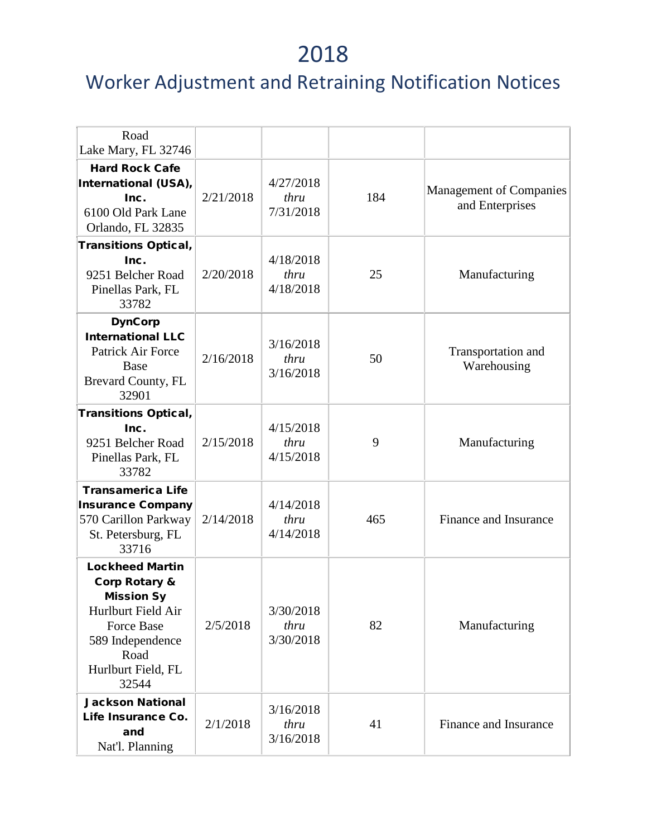| Road<br>Lake Mary, FL 32746                                                                                                                         |           |                                |     |                                                   |
|-----------------------------------------------------------------------------------------------------------------------------------------------------|-----------|--------------------------------|-----|---------------------------------------------------|
| <b>Hard Rock Cafe</b><br>International (USA),<br>Inc.<br>6100 Old Park Lane<br>Orlando, FL 32835                                                    | 2/21/2018 | 4/27/2018<br>thru<br>7/31/2018 | 184 | <b>Management of Companies</b><br>and Enterprises |
| <b>Transitions Optical,</b><br>Inc.                                                                                                                 |           | 4/18/2018                      |     |                                                   |
| 9251 Belcher Road<br>Pinellas Park, FL<br>33782                                                                                                     | 2/20/2018 | thru<br>4/18/2018              | 25  | Manufacturing                                     |
| <b>DynCorp</b>                                                                                                                                      |           |                                |     |                                                   |
| <b>International LLC</b><br>Patrick Air Force<br>Base<br>Brevard County, FL<br>32901                                                                | 2/16/2018 | 3/16/2018<br>thru<br>3/16/2018 | 50  | Transportation and<br>Warehousing                 |
| <b>Transitions Optical,</b>                                                                                                                         |           |                                |     |                                                   |
| Inc.<br>9251 Belcher Road<br>Pinellas Park, FL<br>33782                                                                                             | 2/15/2018 | 4/15/2018<br>thru<br>4/15/2018 | 9   | Manufacturing                                     |
| <b>Transamerica Life</b>                                                                                                                            |           |                                |     |                                                   |
| <b>Insurance Company</b><br>570 Carillon Parkway<br>St. Petersburg, FL<br>33716                                                                     | 2/14/2018 | 4/14/2018<br>thru<br>4/14/2018 | 465 | Finance and Insurance                             |
| <b>Lockheed Martin</b>                                                                                                                              |           |                                |     |                                                   |
| <b>Corp Rotary &amp;</b><br><b>Mission Sy</b><br>Hurlburt Field Air<br><b>Force Base</b><br>589 Independence<br>Road<br>Hurlburt Field, FL<br>32544 | 2/5/2018  | 3/30/2018<br>thru<br>3/30/2018 | 82  | Manufacturing                                     |
| <b>Jackson National</b>                                                                                                                             |           |                                |     |                                                   |
| Life Insurance Co.<br>and<br>Nat'l. Planning                                                                                                        | 2/1/2018  | 3/16/2018<br>thru<br>3/16/2018 | 41  | Finance and Insurance                             |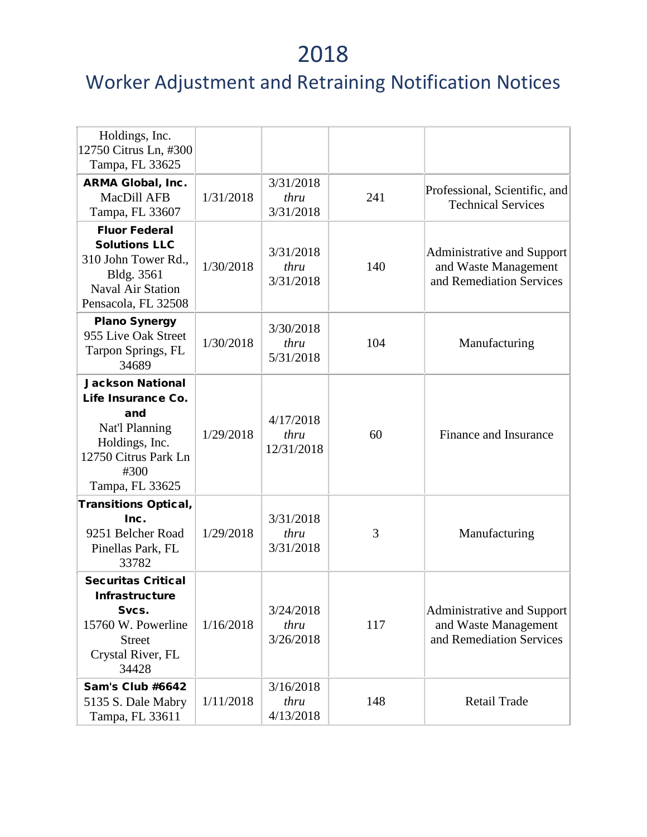| Holdings, Inc.<br>12750 Citrus Ln, #300<br>Tampa, FL 33625                                                                                  |           |                                 |     |                                                                                |
|---------------------------------------------------------------------------------------------------------------------------------------------|-----------|---------------------------------|-----|--------------------------------------------------------------------------------|
| <b>ARMA Global, Inc.</b><br>MacDill AFB<br>Tampa, FL 33607                                                                                  | 1/31/2018 | 3/31/2018<br>thru<br>3/31/2018  | 241 | Professional, Scientific, and<br><b>Technical Services</b>                     |
| <b>Fluor Federal</b><br><b>Solutions LLC</b><br>310 John Tower Rd.,<br>Bldg. 3561<br><b>Naval Air Station</b><br>Pensacola, FL 32508        | 1/30/2018 | 3/31/2018<br>thru<br>3/31/2018  | 140 | Administrative and Support<br>and Waste Management<br>and Remediation Services |
| <b>Plano Synergy</b><br>955 Live Oak Street<br>Tarpon Springs, FL<br>34689                                                                  | 1/30/2018 | 3/30/2018<br>thru<br>5/31/2018  | 104 | Manufacturing                                                                  |
| <b>Jackson National</b><br>Life Insurance Co.<br>and<br>Nat'l Planning<br>Holdings, Inc.<br>12750 Citrus Park Ln<br>#300<br>Tampa, FL 33625 | 1/29/2018 | 4/17/2018<br>thru<br>12/31/2018 | 60  | Finance and Insurance                                                          |
| <b>Transitions Optical,</b><br>Inc.<br>9251 Belcher Road<br>Pinellas Park, FL<br>33782                                                      | 1/29/2018 | 3/31/2018<br>thru<br>3/31/2018  | 3   | Manufacturing                                                                  |
| <b>Securitas Critical</b><br><b>Infrastructure</b><br>Svcs.<br>15760 W. Powerline<br><b>Street</b><br>Crystal River, FL<br>34428            | 1/16/2018 | 3/24/2018<br>thru<br>3/26/2018  | 117 | Administrative and Support<br>and Waste Management<br>and Remediation Services |
| <b>Sam's Club #6642</b><br>5135 S. Dale Mabry<br>Tampa, FL 33611                                                                            | 1/11/2018 | 3/16/2018<br>thru<br>4/13/2018  | 148 | <b>Retail Trade</b>                                                            |